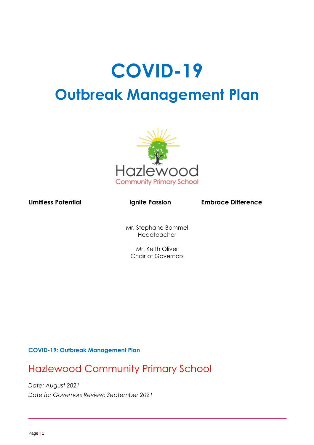# **COVID-19 Outbreak Management Plan**



Limitless Potential **Ignite Passion** Embrace Difference

Mr. Stephane Bommel Headteacher

Mr. Keith Oliver Chair of Governors

**COVID-19: Outbreak Management Plan**

Hazlewood Community Primary School

*Date: August 2021 Date for Governors Review: September 2021*

l,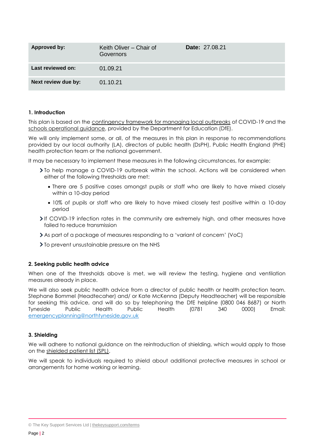| Approved by:        | Keith Oliver - Chair of<br>Governors | <b>Date: 27.08.21</b> |
|---------------------|--------------------------------------|-----------------------|
| Last reviewed on:   | 01.09.21                             |                       |
| Next review due by: | 01.10.21                             |                       |

# **1. Introduction**

This plan is based on the [contingency framework for managing local outbreaks](https://www.gov.uk/government/publications/coronavirus-covid-19-local-restrictions-in-education-and-childcare-settings) of COVID-19 and the [schools operational guidance,](https://www.gov.uk/government/publications/actions-for-schools-during-the-coronavirus-outbreak) provided by the Department for Education (DfE).

We will only implement some, or all, of the measures in this plan in response to recommendations provided by our local authority (LA), directors of public health (DsPH), Public Health England (PHE) health protection team or the national government.

It may be necessary to implement these measures in the following circumstances, for example:

- To help manage a COVID-19 outbreak within the school. Actions will be considered when either of the following thresholds are met:
	- There are 5 positive cases amongst pupils or staff who are likely to have mixed closely within a 10-day period
	- 10% of pupils or staff who are likely to have mixed closely test positive within a 10-day period
- If COVID-19 infection rates in the community are extremely high, and other measures have failed to reduce transmission
- As part of a package of measures responding to a 'variant of concern' (VoC)
- $\sum$  To prevent unsustainable pressure on the NHS

#### **2. Seeking public health advice**

When one of the thresholds above is met, we will review the testing, hygiene and ventilation measures already in place.

We will also seek public health advice from a director of public health or health protection team. Stephane Bommel (Headtecaher) and/ or Kate McKenna (Deputy Headteacher) will be responsible for seeking this advice, and will do so by telephoning the DfE helpline (0800 046 8687) or North<br>Tyneside Public Health Public Health (0781 340 0000) Fmail: Tyneside Public Health Public Health (0781 340 0000) Email: [emergencyplanning@northtyneside.gov.uk](mailto:emergencyplanning@northtyneside.gov.uk)

#### **3. Shielding**

We will adhere to national guidance on the reintroduction of shielding, which would apply to those on the shielded [patient list \(SPL\).](https://digital.nhs.uk/coronavirus/shielded-patient-list)

We will speak to individuals required to shield about additional protective measures in school or arrangements for home working or learning.

<sup>©</sup> The Key Support Services Ltd | [thekeysupport.com/terms](https://thekeysupport.com/terms-of-use)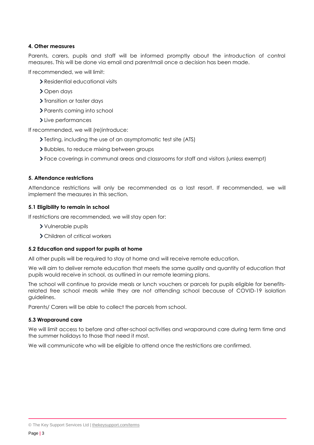# **4. Other measures**

Parents, carers, pupils and staff will be informed promptly about the introduction of control measures. This will be done via email and parentmail once a decision has been made.

If recommended, we will limit:

- Residential educational visits
- > Open days
- > Transition or taster days
- > Parents coming into school
- > Live performances

If recommended, we will (re)introduce:

- > Testing, including the use of an asymptomatic test site (ATS)
- Bubbles, to reduce mixing between groups
- Face coverings in communal areas and classrooms for staff and visitors (unless exempt)

#### **5. Attendance restrictions**

Attendance restrictions will only be recommended as a last resort. If recommended, we will implement the measures in this section.

# **5.1 Eligibility to remain in school**

If restrictions are recommended, we will stay open for:

- Vulnerable pupils
- Children of critical workers

#### **5.2 Education and support for pupils at home**

All other pupils will be required to stay at home and will receive remote education.

We will aim to deliver remote education that meets the same quality and quantity of education that pupils would receive in school, as outlined in our remote learning plans.

The school will continue to provide meals or lunch vouchers or parcels for pupils eligible for benefitsrelated free school meals while they are not attending school because of COVID-19 isolation guidelines.

Parents/ Carers will be able to collect the parcels from school.

#### **5.3 Wraparound care**

We will limit access to before and after-school activities and wraparound care during term time and the summer holidays to those that need it most.

We will communicate who will be eligible to attend once the restrictions are confirmed.